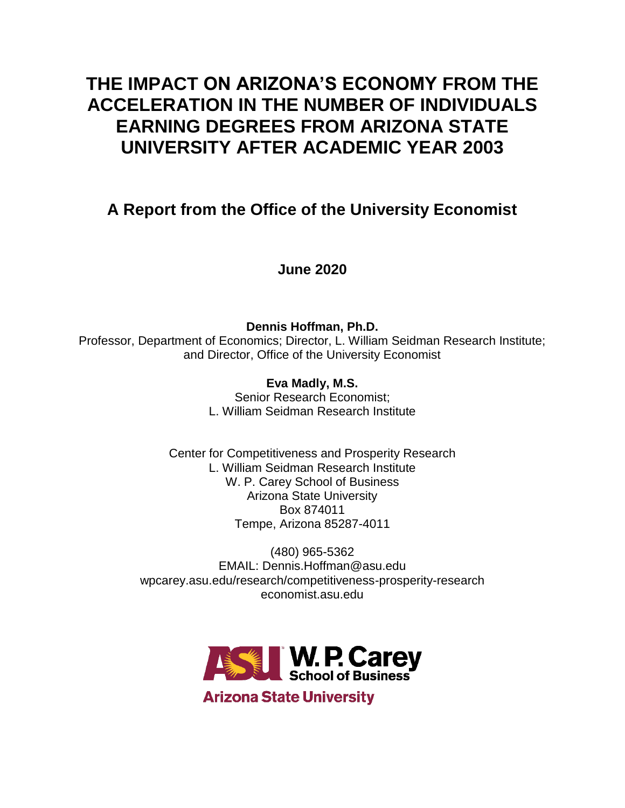# **THE IMPACT ON ARIZONA'S ECONOMY FROM THE ACCELERATION IN THE NUMBER OF INDIVIDUALS EARNING DEGREES FROM ARIZONA STATE UNIVERSITY AFTER ACADEMIC YEAR 2003**

## **A Report from the Office of the University Economist**

**June 2020**

**Dennis Hoffman, Ph.D.** Professor, Department of Economics; Director, L. William Seidman Research Institute; and Director, Office of the University Economist

> **Eva Madly, M.S.** Senior Research Economist; L. William Seidman Research Institute

Center for Competitiveness and Prosperity Research L. William Seidman Research Institute W. P. Carey School of Business Arizona State University Box 874011 Tempe, Arizona 85287-4011

(480) 965-5362 EMAIL: Dennis.Hoffman@asu.edu wpcarey.asu.edu/research/competitiveness-prosperity-research economist.asu.edu



**Arizona State University**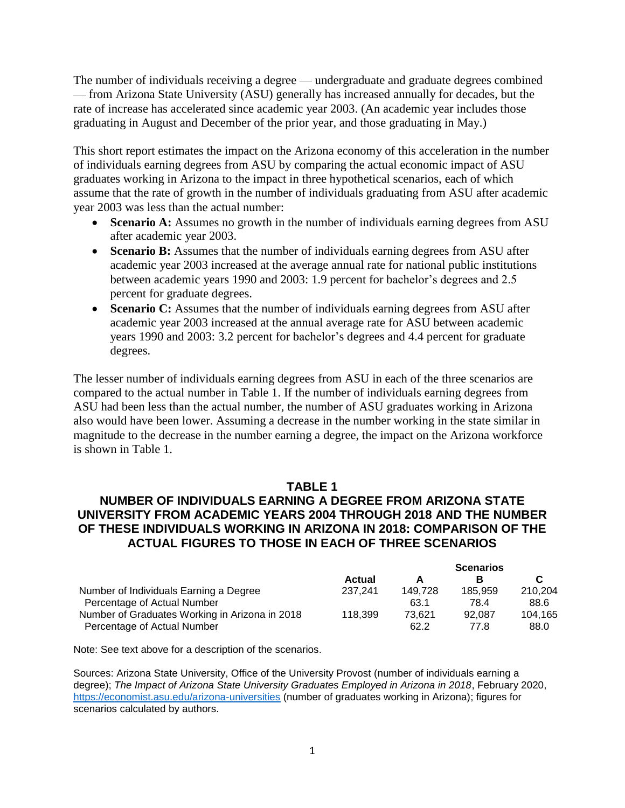The number of individuals receiving a degree — undergraduate and graduate degrees combined — from Arizona State University (ASU) generally has increased annually for decades, but the rate of increase has accelerated since academic year 2003. (An academic year includes those graduating in August and December of the prior year, and those graduating in May.)

This short report estimates the impact on the Arizona economy of this acceleration in the number of individuals earning degrees from ASU by comparing the actual economic impact of ASU graduates working in Arizona to the impact in three hypothetical scenarios, each of which assume that the rate of growth in the number of individuals graduating from ASU after academic year 2003 was less than the actual number:

- **Scenario A:** Assumes no growth in the number of individuals earning degrees from ASU after academic year 2003.
- **Scenario B:** Assumes that the number of individuals earning degrees from ASU after academic year 2003 increased at the average annual rate for national public institutions between academic years 1990 and 2003: 1.9 percent for bachelor's degrees and 2.5 percent for graduate degrees.
- **Scenario C:** Assumes that the number of individuals earning degrees from ASU after academic year 2003 increased at the annual average rate for ASU between academic years 1990 and 2003: 3.2 percent for bachelor's degrees and 4.4 percent for graduate degrees.

The lesser number of individuals earning degrees from ASU in each of the three scenarios are compared to the actual number in Table 1. If the number of individuals earning degrees from ASU had been less than the actual number, the number of ASU graduates working in Arizona also would have been lower. Assuming a decrease in the number working in the state similar in magnitude to the decrease in the number earning a degree, the impact on the Arizona workforce is shown in Table 1.

## **TABLE 1**

## **NUMBER OF INDIVIDUALS EARNING A DEGREE FROM ARIZONA STATE UNIVERSITY FROM ACADEMIC YEARS 2004 THROUGH 2018 AND THE NUMBER OF THESE INDIVIDUALS WORKING IN ARIZONA IN 2018: COMPARISON OF THE ACTUAL FIGURES TO THOSE IN EACH OF THREE SCENARIOS**

|                                                |               | <b>Scenarios</b> |         |         |
|------------------------------------------------|---------------|------------------|---------|---------|
|                                                | <b>Actual</b> |                  |         |         |
| Number of Individuals Earning a Degree         | 237.241       | 149.728          | 185.959 | 210.204 |
| Percentage of Actual Number                    |               | 63.1             | 78.4    | 88.6    |
| Number of Graduates Working in Arizona in 2018 | 118.399       | 73.621           | 92.087  | 104.165 |
| Percentage of Actual Number                    |               | 62.2             | 77.8    | 88.0    |

Note: See text above for a description of the scenarios.

Sources: Arizona State University, Office of the University Provost (number of individuals earning a degree); *The Impact of Arizona State University Graduates Employed in Arizona in 2018*, February 2020, <https://economist.asu.edu/arizona-universities> (number of graduates working in Arizona); figures for scenarios calculated by authors.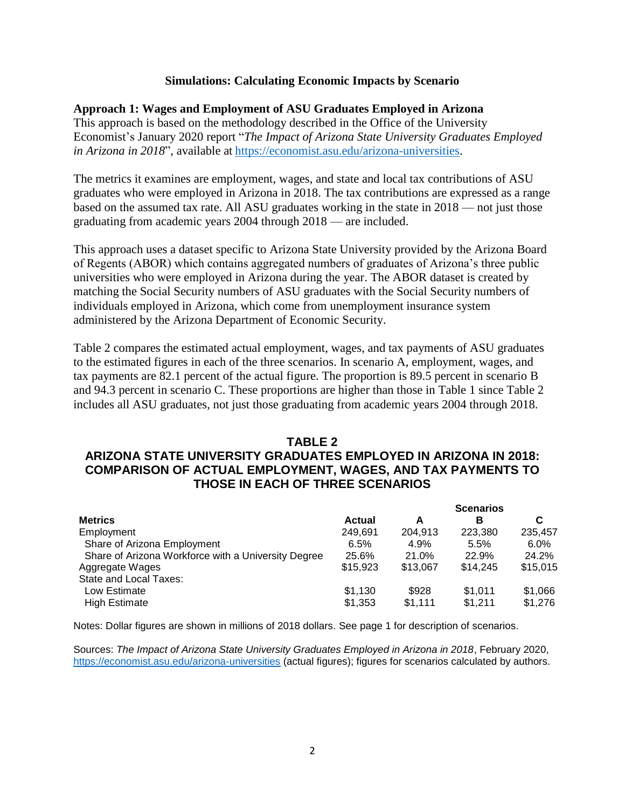#### **Simulations: Calculating Economic Impacts by Scenario**

#### **Approach 1: Wages and Employment of ASU Graduates Employed in Arizona**

This approach is based on the methodology described in the Office of the University Economist's January 2020 report "*The Impact of Arizona State University Graduates Employed in Arizona in 2018*", available at [https://economist.asu.edu/arizona-universities.](https://economist.asu.edu/arizona-universities)

The metrics it examines are employment, wages, and state and local tax contributions of ASU graduates who were employed in Arizona in 2018. The tax contributions are expressed as a range based on the assumed tax rate. All ASU graduates working in the state in 2018 — not just those graduating from academic years 2004 through 2018 — are included.

This approach uses a dataset specific to Arizona State University provided by the Arizona Board of Regents (ABOR) which contains aggregated numbers of graduates of Arizona's three public universities who were employed in Arizona during the year. The ABOR dataset is created by matching the Social Security numbers of ASU graduates with the Social Security numbers of individuals employed in Arizona, which come from unemployment insurance system administered by the Arizona Department of Economic Security.

Table 2 compares the estimated actual employment, wages, and tax payments of ASU graduates to the estimated figures in each of the three scenarios. In scenario A, employment, wages, and tax payments are 82.1 percent of the actual figure. The proportion is 89.5 percent in scenario B and 94.3 percent in scenario C. These proportions are higher than those in Table 1 since Table 2 includes all ASU graduates, not just those graduating from academic years 2004 through 2018.

#### **TABLE 2 ARIZONA STATE UNIVERSITY GRADUATES EMPLOYED IN ARIZONA IN 2018: COMPARISON OF ACTUAL EMPLOYMENT, WAGES, AND TAX PAYMENTS TO THOSE IN EACH OF THREE SCENARIOS**

|                                                     |               | <b>Scenarios</b> |          |          |
|-----------------------------------------------------|---------------|------------------|----------|----------|
| <b>Metrics</b>                                      | <b>Actual</b> | A                | в        | C        |
| Employment                                          | 249.691       | 204.913          | 223.380  | 235,457  |
| Share of Arizona Employment                         | 6.5%          | 4.9%             | 5.5%     | $6.0\%$  |
| Share of Arizona Workforce with a University Degree | 25.6%         | 21.0%            | 22.9%    | 24.2%    |
| Aggregate Wages                                     | \$15,923      | \$13.067         | \$14,245 | \$15.015 |
| State and Local Taxes:                              |               |                  |          |          |
| Low Estimate                                        | \$1,130       | \$928            | \$1,011  | \$1,066  |
| <b>High Estimate</b>                                | \$1,353       | \$1,111          | \$1.211  | \$1,276  |

Notes: Dollar figures are shown in millions of 2018 dollars. See page 1 for description of scenarios.

Sources: *The Impact of Arizona State University Graduates Employed in Arizona in 2018*, February 2020, <https://economist.asu.edu/arizona-universities> (actual figures); figures for scenarios calculated by authors.